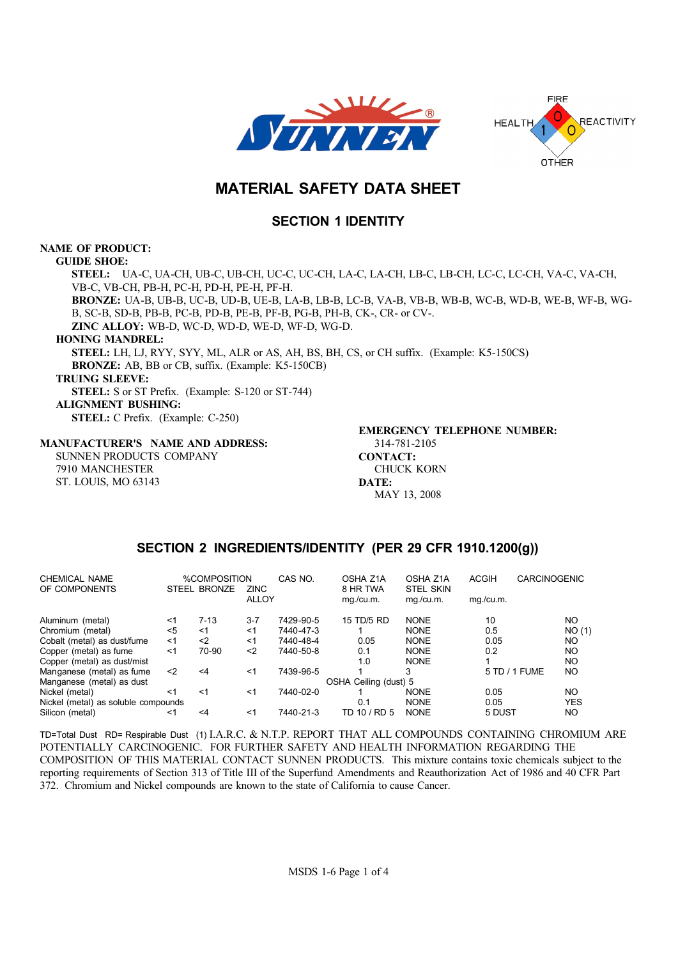



# **MATERIAL SAFETY DATA SHEET**

# **SECTION 1 IDENTITY**

### **NAME OF PRODUCT:**

**GUIDE SHOE: STEEL: UA-C, UA-CH, UB-C, UB-CH, UC-C, UC-CH, LA-C, LA-CH, LB-C, LB-CH, LC-C, LC-CH, VA-C, VA-CH, VB-C, VB-CH, PB-H, PC-H, PD-H, PE-H, PF-H. BRONZE: UA-B, UB-B, UC-B, UD-B, UE-B, LA-B, LB-B, LC-B, VA-B, VB-B, WB-B, WC-B, WD-B, WE-B, WF-B, WG-B, SC-B, SD-B, PB-B, PC-B, PD-B, PE-B, PF-B, PG-B, PH-B, CK-, CR- or CV-. ZINC ALLOY: WB-D, WC-D, WD-D, WE-D, WF-D, WG-D. HONING MANDREL: STEEL: LH, LJ, RYY, SYY, ML, ALR or AS, AH, BS, BH, CS, or CH suffix. (Example: K5-150CS) BRONZE: AB, BB or CB, suffix. (Example: K5-150CB) TRUING SLEEVE: STEEL: S or ST Prefix. (Example: S-120 or ST-744) ALIGNMENT BUSHING: STEEL: C Prefix. (Example: C-250) EMERGENCY TELEPHONE NUMBER:**

#### **MANUFACTURER'S NAME AND ADDRESS:**

**SUNNEN PRODUCTS COMPANY 7910 MANCHESTER ST. LOUIS, MO 63143**

**314-781-2105 CONTACT: CHUCK KORN DATE: MAY 13, 2008**

# **SECTION 2 INGREDIENTS/IDENTITY (PER 29 CFR 1910.1200(g))**

| CHEMICAL NAME<br>OF COMPONENTS      |       | %COMPOSITION<br><b>STEEL BRONZE</b> | <b>ZINC</b>  | CAS NO.   | OSHA Z1A<br>8 HR TWA  | OSHA Z1A<br><b>STEL SKIN</b> | <b>ACGIH</b> | <b>CARCINOGENIC</b> |            |
|-------------------------------------|-------|-------------------------------------|--------------|-----------|-----------------------|------------------------------|--------------|---------------------|------------|
|                                     |       |                                     | <b>ALLOY</b> |           | mg./cu.m.             | mg./cu.m.                    | mg./cu.m.    |                     |            |
| Aluminum (metal)                    | <1    | $7 - 13$                            | $3 - 7$      | 7429-90-5 | 15 TD/5 RD            | <b>NONE</b>                  | 10           |                     | NO         |
| Chromium (metal)                    | $5$   | ≺1                                  | $<$ 1        | 7440-47-3 |                       | <b>NONE</b>                  | 0.5          |                     | NO(1)      |
| Cobalt (metal) as dust/fume         | $<$ 1 | $2$                                 | $<$ 1        | 7440-48-4 | 0.05                  | <b>NONE</b>                  | 0.05         |                     | NO.        |
| Copper (metal) as fume              | $<$ 1 | 70-90                               | $2$          | 7440-50-8 | 0.1                   | <b>NONE</b>                  | 0.2          |                     | NO.        |
| Copper (metal) as dust/mist         |       |                                     |              |           | 1.0                   | <b>NONE</b>                  |              |                     | NO.        |
| Manganese (metal) as fume           | $<$ 2 | <4                                  | <1           | 7439-96-5 |                       | 3                            |              | 5 TD / 1 FUME       | NO.        |
| Manganese (metal) as dust           |       |                                     |              |           | OSHA Ceiling (dust) 5 |                              |              |                     |            |
| Nickel (metal)                      | <1    | $<$ 1                               | $<$ 1        | 7440-02-0 |                       | <b>NONE</b>                  | 0.05         |                     | NO         |
| Nickel (metal) as soluble compounds |       |                                     |              |           | 0.1                   | <b>NONE</b>                  | 0.05         |                     | <b>YES</b> |
| Silicon (metal)                     | ≺1    | <4                                  | <1           | 7440-21-3 | TD 10 / RD 5          | <b>NONE</b>                  | 5 DUST       |                     | NO         |

**TD=Total Dust RD= Respirable Dust (1) I.A.R.C. & N.T.P. REPORT THAT ALL COMPOUNDS CONTAINING CHROMIUM ARE POTENTIALLY CARCINOGENIC. FOR FURTHER SAFETY AND HEALTH INFORMATION REGARDING THE COMPOSITION OF THIS MATERIAL CONTACT SUNNEN PRODUCTS. This mixture contains toxic chemicals subject to the reporting requirements of Section 313 of Title III of the Superfund Amendments and Reauthorization Act of 1986 and 40 CFR Part 372. Chromium and Nickel compounds are known to the state of California to cause Cancer.**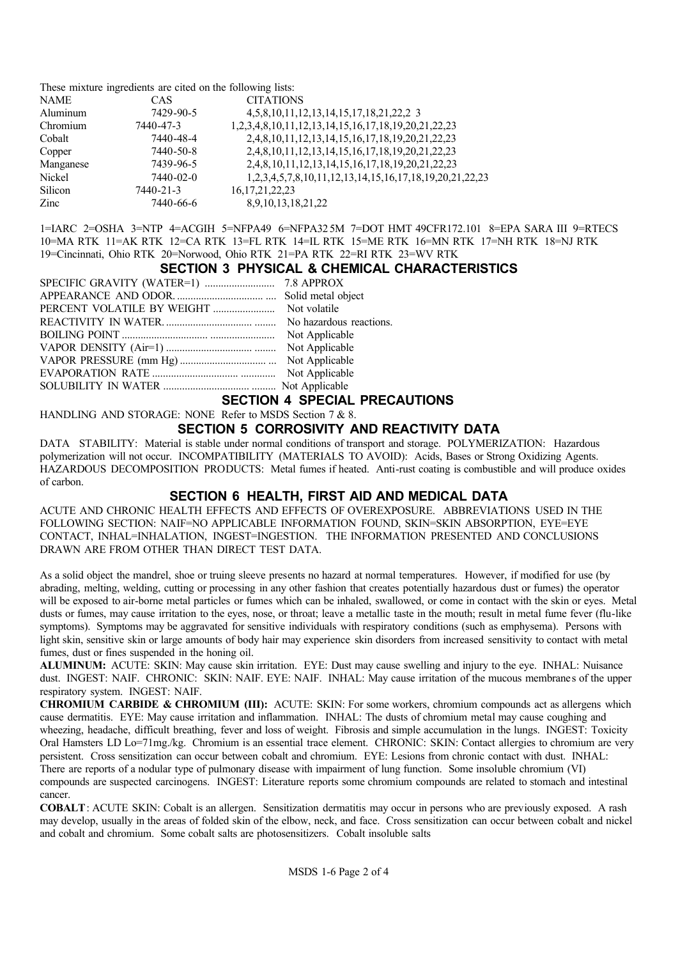**These mixture ingredients are cited on the following lists:**

| <b>NAME</b> | CAS       | <b>CITATIONS</b>                                                |
|-------------|-----------|-----------------------------------------------------------------|
| Aluminum    | 7429-90-5 | 4, 5, 8, 10, 11, 12, 13, 14, 15, 17, 18, 21, 22, 23             |
| Chromium    | 7440-47-3 | 1,2,3,4,8,10,11,12,13,14,15,16,17,18,19,20,21,22,23             |
| Cobalt      | 7440-48-4 | 2,4,8,10,11,12,13,14,15,16,17,18,19,20,21,22,23                 |
| Copper      | 7440-50-8 | 2,4,8,10,11,12,13,14,15,16,17,18,19,20,21,22,23                 |
| Manganese   | 7439-96-5 | 2, 4, 8, 10, 11, 12, 13, 14, 15, 16, 17, 18, 19, 20, 21, 22, 23 |
| Nickel      | 7440-02-0 | 1,2,3,4,5,7,8,10,11,12,13,14,15,16,17,18,19,20,21,22,23         |
| Silicon     | 7440-21-3 | 16, 17, 21, 22, 23                                              |
| Zinc        | 7440-66-6 | 8,9,10,13,18,21,22                                              |

**1=IARC 2=OSHA 3=NTP 4=ACGIH 5=NFPA49 6=NFPA32 5M 7=DOT HMT 49CFR172.101 8=EPA SARA III 9=RTECS 10=MA RTK 11=AK RTK 12=CA RTK 13=FL RTK 14=IL RTK 15=ME RTK 16=MN RTK 17=NH RTK 18=NJ RTK 19=Cincinnati, Ohio RTK 20=Norwood, Ohio RTK 21=PA RTK 22=RI RTK 23=WV RTK**

#### **SECTION 3 PHYSICAL & CHEMICAL CHARACTERISTICS**

| Not volatile            |
|-------------------------|
| No hazardous reactions. |
| Not Applicable          |
| Not Applicable          |
| Not Applicable          |
| Not Applicable          |
|                         |
|                         |

**SECTION 4 SPECIAL PRECAUTIONS**

**HANDLING AND STORAGE: NONE Refer to MSDS Section 7 & 8.**

### **SECTION 5 CORROSIVITY AND REACTIVITY DATA**

**DATA STABILITY: Material is stable under normal conditions of transport and storage. POLYMERIZATION: Hazardous polymerization will not occur. INCOMPATIBILITY (MATERIALS TO AVOID): Acids, Bases or Strong Oxidizing Agents. HAZARDOUS DECOMPOSITION PRODUCTS: Metal fumes if heated. Anti-rust coating is combustible and will produce oxides of carbon.**

### **SECTION 6 HEALTH, FIRST AID AND MEDICAL DATA**

**ACUTE AND CHRONIC HEALTH EFFECTS AND EFFECTS OF OVEREXPOSURE. ABBREVIATIONS USED IN THE FOLLOWING SECTION: NAIF=NO APPLICABLE INFORMATION FOUND, SKIN=SKIN ABSORPTION, EYE=EYE CONTACT, INHAL=INHALATION, INGEST=INGESTION. THE INFORMATION PRESENTED AND CONCLUSIONS DRAWN ARE FROM OTHER THAN DIRECT TEST DATA.**

**As a solid object the mandrel, shoe or truing sleeve presents no hazard at normal temperatures. However, if modified for use (by abrading, melting, welding, cutting or processing in any other fashion that creates potentially hazardous dust or fumes) the operator will be exposed to air-borne metal particles or fumes which can be inhaled, swallowed, or come in contact with the skin or eyes. Metal dusts or fumes, may cause irritation to the eyes, nose, or throat; leave a metallic taste in the mouth; result in metal fume fever (flu-like symptoms). Symptoms may be aggravated for sensitive individuals with respiratory conditions (such as emphysema). Persons with light skin, sensitive skin or large amounts of body hair may experience skin disorders from increased sensitivity to contact with metal fumes, dust or fines suspended in the honing oil.**

**ALUMINUM: ACUTE: SKIN: May cause skin irritation. EYE: Dust may cause swelling and injury to the eye. INHAL: Nuisance**  dust. INGEST: NAIF. CHRONIC: SKIN: NAIF. EYE: NAIF. INHAL: May cause irritation of the mucous membranes of the upper **respiratory system. INGEST: NAIF.**

**CHROMIUM CARBIDE & CHROMIUM (III): ACUTE: SKIN: For some workers, chromium compounds act as allergens which cause dermatitis. EYE: May cause irritation and inflammation. INHAL: The dusts of chromium metal may cause coughing and wheezing, headache, difficult breathing, fever and loss of weight. Fibrosis and simple accumulation in the lungs. INGEST: Toxicity Oral Hamsters LD Lo=71mg./kg. Chromium is an essential trace element. CHRONIC: SKIN: Contact allergies to chromium are very persistent. Cross sensitization can occur between cobalt and chromium. EYE: Lesions from chronic contact with dust. INHAL: There are reports of a nodular type of pulmonary disease with impairment of lung function. Some insoluble chromium (VI) compounds are suspected carcinogens. INGEST: Literature reports some chromium compounds are related to stomach and intestinal cancer.**

**COBALT: ACUTE SKIN: Cobalt is an allergen. Sensitization dermatitis may occur in persons who are previously exposed. A rash may develop, usually in the areas of folded skin of the elbow, neck, and face. Cross sensitization can occur between cobalt and nickel and cobalt and chromium. Some cobalt salts are photosensitizers. Cobalt insoluble salts**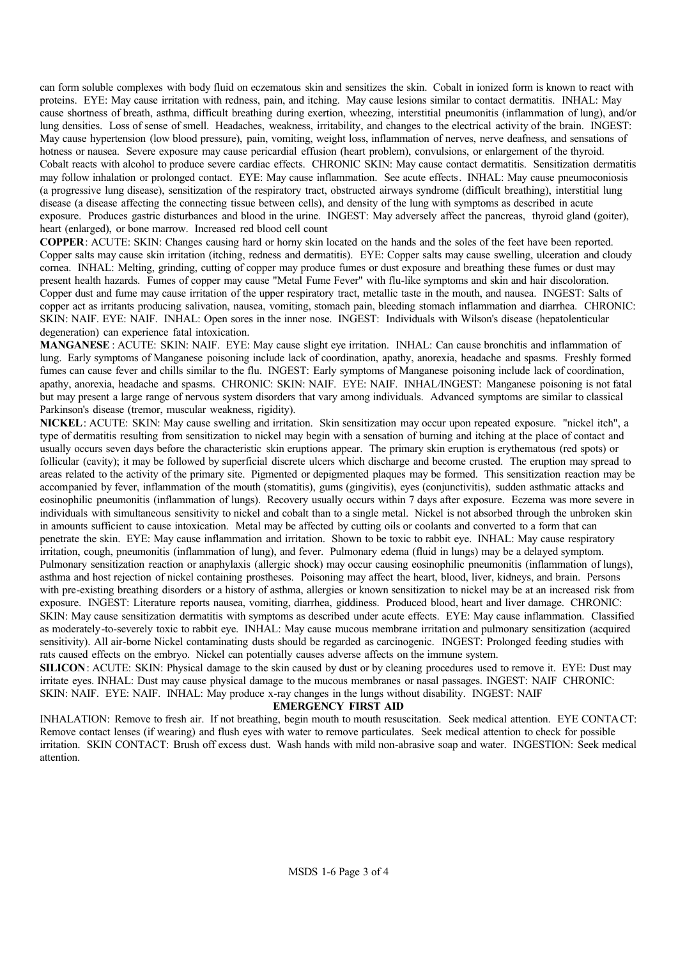**can form soluble complexes with body fluid on eczematous skin and sensitizes the skin. Cobalt in ionized form is known to react with proteins. EYE: May cause irritation with redness, pain, and itching. May cause lesions similar to contact dermatitis. INHAL: May cause shortness of breath, asthma, difficult breathing during exertion, wheezing, interstitial pneumonitis (inflammation of lung), and/or lung densities. Loss of sense of smell. Headaches, weakness, irritability, and changes to the electrical activity of the brain. INGEST: May cause hypertension (low blood pressure), pain, vomiting, weight loss, inflammation of nerves, nerve deafness, and sensations of hotness or nausea. Severe exposure may cause pericardial effusion (heart problem), convulsions, or enlargement of the thyroid. Cobalt reacts with alcohol to produce severe cardiac effects. CHRONIC SKIN: May cause contact dermatitis. Sensitization dermatitis may follow inhalation or prolonged contact. EYE: May cause inflammation. See acute effects. INHAL: May cause pneumoconiosis (a progressive lung disease), sensitization of the respiratory tract, obstructed airways syndrome (difficult breathing), interstitial lung disease (a disease affecting the connecting tissue between cells), and density of the lung with symptoms as described in acute exposure. Produces gastric disturbances and blood in the urine. INGEST: May adversely affect the pancreas, thyroid gland (goiter), heart (enlarged), or bone marrow. Increased red blood cell count**

**COPPER: ACUTE: SKIN: Changes causing hard or horny skin located on the hands and the soles of the feet have been reported. Copper salts may cause skin irritation (itching, redness and dermatitis). EYE: Copper salts may cause swelling, ulceration and cloudy cornea. INHAL: Melting, grinding, cutting of copper may produce fumes or dust exposure and breathing these fumes or dust may**  present health hazards. Fumes of copper may cause "Metal Fume Fever" with flu-like symptoms and skin and hair discoloration. **Copper dust and fume may cause irritation of the upper respiratory tract, metallic taste in the mouth, and nausea. INGEST: Salts of copper act as irritants producing salivation, nausea, vomiting, stomach pain, bleeding stomach inflammation and diarrhea. CHRONIC: SKIN: NAIF. EYE: NAIF. INHAL: Open sores in the inner nose. INGEST: Individuals with Wilson's disease (hepatolenticular degeneration) can experience fatal intoxication.** 

**MANGANESE : ACUTE: SKIN: NAIF. EYE: May cause slight eye irritation. INHAL: Can cause bronchitis and inflammation of lung. Early symptoms of Manganese poisoning include lack of coordination, apathy, anorexia, headache and spasms. Freshly formed fumes can cause fever and chills similar to the flu. INGEST: Early symptoms of Manganese poisoning include lack of coordination, apathy, anorexia, headache and spasms. CHRONIC: SKIN: NAIF. EYE: NAIF. INHAL/INGEST: Manganese poisoning is not fatal but may present a large range of nervous system disorders that vary among individuals. Advanced symptoms are similar to classical Parkinson's disease (tremor, muscular weakness, rigidity).** 

**NICKEL: ACUTE: SKIN: May cause swelling and irritation. Skin sensitization may occur upon repeated exposure. "nickel itch", a type of dermatitis resulting from sensitization to nickel may begin with a sensation of burning and itching at the place of contact and usually occurs seven days before the characteristic skin eruptions appear. The primary skin eruption is erythematous (red spots) or follicular (cavity); it may be followed by superficial discrete ulcers which discharge and become crusted. The eruption may spread to areas related to the activity of the primary site. Pigmented or depigmented plaques may be formed. This sensitization reaction may be accompanied by fever, inflammation of the mouth (stomatitis), gums (gingivitis), eyes (conjunctivitis), sudden asthmatic attacks and eosinophilic pneumonitis (inflammation of lungs). Recovery usually occurs within 7 days after exposure. Eczema was more severe in individuals with simultaneous sensitivity to nickel and cobalt than to a single metal. Nickel is not absorbed through the unbroken skin in amounts sufficient to cause intoxication. Metal may be affected by cutting oils or coolants and converted to a form that can penetrate the skin. EYE: May cause inflammation and irritation. Shown to be toxic to rabbit eye. INHAL: May cause respiratory irritation, cough, pneumonitis (inflammation of lung), and fever. Pulmonary edema (fluid in lungs) may be a delayed symptom. Pulmonary sensitization reaction or anaphylaxis (allergic shock) may occur causing eosinophilic pneumonitis (inflammation of lungs), asthma and host rejection of nickel containing prostheses. Poisoning may affect the heart, blood, liver, kidneys, and brain. Persons**  with pre-existing breathing disorders or a history of asthma, allergies or known sensitization to nickel may be at an increased risk from **exposure. INGEST: Literature reports nausea, vomiting, diarrhea, giddiness. Produced blood, heart and liver damage. CHRONIC: SKIN: May cause sensitization dermatitis with symptoms as described under acute effects. EYE: May cause inflammation. Classified as moderately-to-severely toxic to rabbit eye. INHAL: May cause mucous membrane irritation and pulmonary sensitization (acquired sensitivity). All air-borne Nickel contaminating dusts should be regarded as carcinogenic. INGEST: Prolonged feeding studies with rats caused effects on the embryo. Nickel can potentially causes adverse affects on the immune system.**

**SILICON: ACUTE: SKIN: Physical damage to the skin caused by dust or by cleaning procedures used to remove it. EYE: Dust may irritate eyes. INHAL: Dust may cause physical damage to the mucous membranes or nasal passages. INGEST: NAIF CHRONIC: SKIN: NAIF. EYE: NAIF. INHAL: May produce x-ray changes in the lungs without disability. INGEST: NAIF**

#### **EMERGENCY FIRST AID**

**INHALATION: Remove to fresh air. If not breathing, begin mouth to mouth resuscitation. Seek medical attention. EYE CONTACT: Remove contact lenses (if wearing) and flush eyes with water to remove particulates. Seek medical attention to check for possible irritation. SKIN CONTACT: Brush off excess dust. Wash hands with mild non-abrasive soap and water. INGESTION: Seek medical attention.**